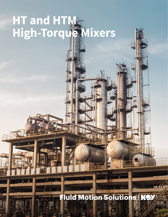# **HT and HTM High-Torque Mixers**

#### **Fluid Motion Solutions**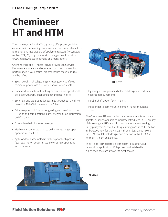## **Chemineer HT and HTM**

The Chemineer HT and HTM agitators offer proven, reliable experience in demanding processes such as chemical reactors, fermentations (gas dispersion), polymer reactors (PVC, natural rubber, PTA, PE, polystyrene, etc.), flue gas desulfurization (FGD), mining, waste treatment, and many others.

Chemineer HT and HTM gear drives provide long service life, low maintenance and operating costs, and unmatched performance in your critical processes with these features and benefits:

- Spiral bevel & helical gearing increasing service life with minimum power loss and low noise/vibration levels
- Oversized solid internal shafting minimizes low speed shaft deflection, thereby extending gear and bearing life
- Spherical and tapered roller bearings throughout the drive providing 100,000 hr. minimum L-10 lives
- Fail safe splash lubrication for gearing and bearings on the HT units and combination splash/integral pump lubrication on HTM units
- Dry well seal eliminates oil leakage
- Mechanical run tested prior to delivery ensuring proper operation in the field
- Agitator drives assembled in factory prior to shipment (gearbox, motor, pedestal, seal) to ensure proper fit-up and tolerances



**HT Drive**

- Right angle drive provides balanced design and reduces headroom requirements
- Parallel shaft option for HTM units
- Independent beam mounting or tank flange mounting options

The Chemineer HT was the first gearbox manufactured by an agitator supplier available to industry. Introduced in 1972 many of those original HT's are still operating today, an amazing thirty plus years service life. Torque ratings are up to 1.3 million in-lbs (1,000 hp+) for the HT, 2.5 million in-lbs. (2,000 hp+) for the HTM parallel shaft design, and 7 million in-lbs. (5,000 hp+) for the HTM right angle units.

The HT and HTM agitators are the best in class for your demanding application. With proven and reliable field experience, they are always the right choice.

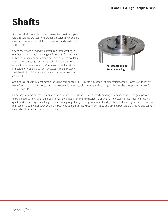### **Shafts**

Standard shaft design is solid and keyed to drive the impellers through the process fluid. Optional designs include pipe shafting to reduce the weight of the system and welded hubs to the shaft.

Chemineer machines and straightens agitator shafting in our factory with lathes handling shafts over 30 feet in length. In-tank couplings, either welded or removable, are available to minimize the length and weight of individual sections. All shafting is straightened by Chemineer to within a total indicated runout of 0.003" per foot (0.25 mm per meter) of shaft length to minimize vibration and maximize gearbox and seal life.



Shafting is available in most metals including carbon steel, 304/316 stainless steel, duplex stainless steel, Hastelloy®, Inconel®, Monel® and titanium. Shafts can also be coated with a variety of coverings and coatings such as rubber, neoprene, Hypalon®, Teflon® and FRP.

Many large volume processes require shaft support inside the vessel via a steady bearing. Chemineer has once again proven to be a leader with installation, operation, and maintenance friendly designs. Our unique "Adjustable Steady Bearing" makes quick work of bearing to shaft alignment ensuring long steady bearing component and gearbox/seal bearing life. Installation and maintenance personnel agree this is the best way to align a steady bearing on large equipment. Pad, bracket, tripod and sanitary steady bearings are available design options.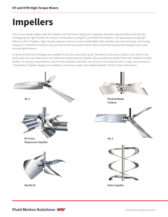### **Impellers**

The process design begins with the impeller and Chemineer application engineers and sales representatives are the best at designing the right impeller for the job. Fermentations using BT-6 and Maxflo W impellers, FGD applications using high efficiency HE-3 impellers, high viscosity polymer reactors using a double flight helix impeller, and pulp and paper and mining using HE-3 or Maxflo W impellers are just a few of the many applications where Chemineer process technology boosts your process performance.

A variety of mechanical designs are available to suit your particular needs. Standard construction utilizes a hub which is key driven and set screw attached to the shaft with bolted extension blades. Also available are welded hubs with welded or bolted blades. For sanitary requirements, polish of the impellers and shaft, use of acorn nuts and bolts with o-rings, and a variety of "Smoothline" impeller designs are available to meet your needs. See Impeller Bulletin 710 for further information.

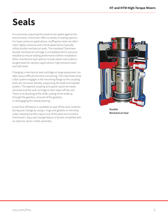#### **Seals**

For processes requiring the vessel to be sealed against the environment, Chemineer offers a variety of sealing options. For lower pressure applications, stuffing box seals are often used. Higher pressure and critical applications typically utilize double mechanical seals. The standard Chemineer double mechanical cartridge is completely bench pressure testable to ensure sealing performance before installation. Other mechanical seal options include steam lubricated or purged seals for sanitary applications, high pressure seals and split seals.

Changing a mechanical seal cartridge on large equipment can often prove difficult and time consuming. The Chemineer drop collar system engages in the mounting flange as the coupling bolts are removed, thereby supporting the shaft and impeller system. The tapered coupling and spacer spool are easily removed and the seal cartridge is then taken off the unit. There is no blocking of the shaft, pulling of the shaft up through the gearbox, removal of the gearbox, or disengaging the steady bearing.

A seal shut-off feature is available to seal off the tank contents during seal change by using o-rings and gaskets on the drop collar, keeping harmful vapors out of the plant environment. Chemineer's easy seal change feature is further simplified with an optional Jacks-n-Rails assembly.



**Double Mechanical Seal**